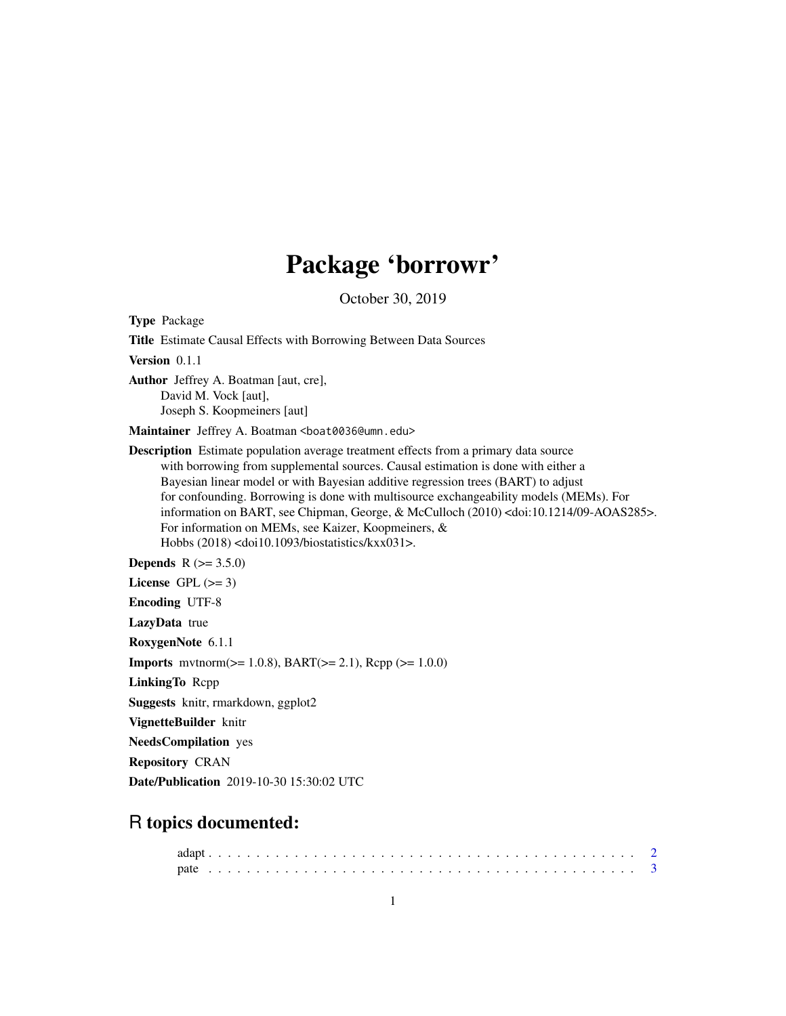## Package 'borrowr'

October 30, 2019

Type Package Title Estimate Causal Effects with Borrowing Between Data Sources Version 0.1.1 Author Jeffrey A. Boatman [aut, cre], David M. Vock [aut], Joseph S. Koopmeiners [aut] Maintainer Jeffrey A. Boatman <boat0036@umn.edu> Description Estimate population average treatment effects from a primary data source with borrowing from supplemental sources. Causal estimation is done with either a Bayesian linear model or with Bayesian additive regression trees (BART) to adjust for confounding. Borrowing is done with multisource exchangeability models (MEMs). For information on BART, see Chipman, George, & McCulloch (2010) <doi:10.1214/09-AOAS285>. For information on MEMs, see Kaizer, Koopmeiners, & Hobbs (2018) <doi10.1093/biostatistics/kxx031>. **Depends**  $R (= 3.5.0)$ License GPL  $(>= 3)$ Encoding UTF-8 LazyData true RoxygenNote 6.1.1 **Imports** mythorm( $>= 1.0.8$ ), BART( $>= 2.1$ ), Rcpp ( $>= 1.0.0$ ) LinkingTo Rcpp Suggests knitr, rmarkdown, ggplot2 VignetteBuilder knitr NeedsCompilation yes Repository CRAN Date/Publication 2019-10-30 15:30:02 UTC

### R topics documented: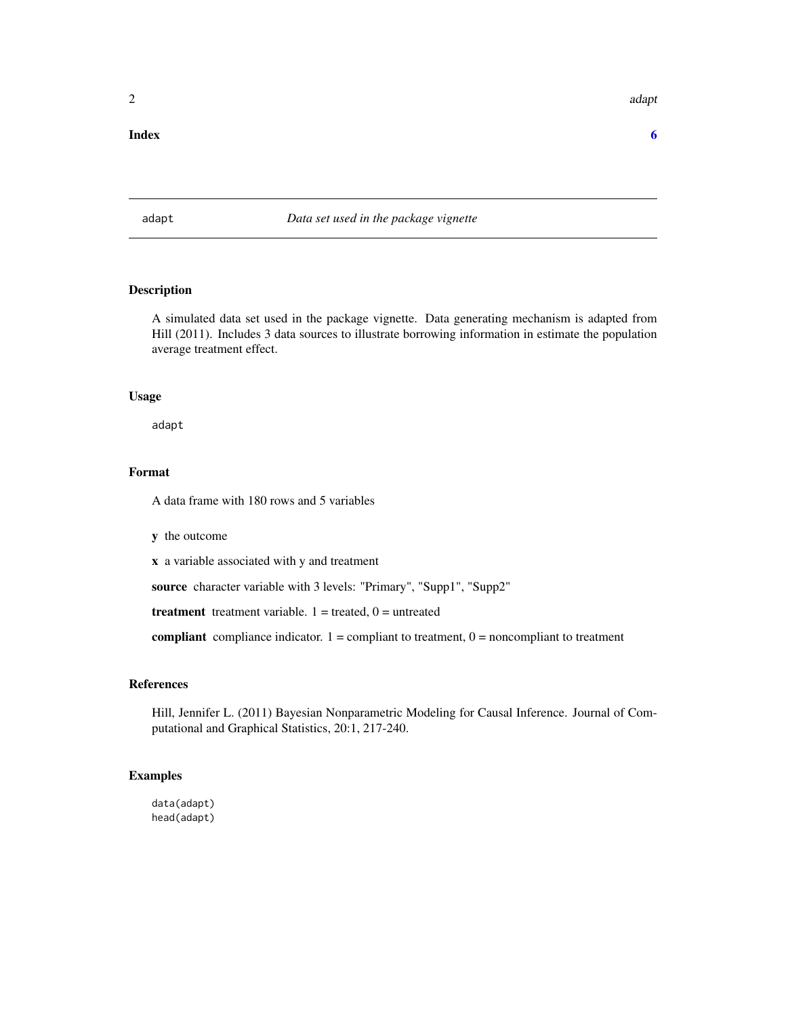### <span id="page-1-0"></span>**Index** [6](#page-5-0) **6**

adapt *Data set used in the package vignette*

### Description

A simulated data set used in the package vignette. Data generating mechanism is adapted from Hill (2011). Includes 3 data sources to illustrate borrowing information in estimate the population average treatment effect.

### Usage

adapt

### Format

A data frame with 180 rows and 5 variables

y the outcome

x a variable associated with y and treatment

source character variable with 3 levels: "Primary", "Supp1", "Supp2"

treatment treatment variable.  $1 =$  treated,  $0 =$  untreated

compliant compliance indicator.  $1 =$  compliant to treatment,  $0 =$  noncompliant to treatment

### References

Hill, Jennifer L. (2011) Bayesian Nonparametric Modeling for Causal Inference. Journal of Computational and Graphical Statistics, 20:1, 217-240.

### Examples

data(adapt) head(adapt)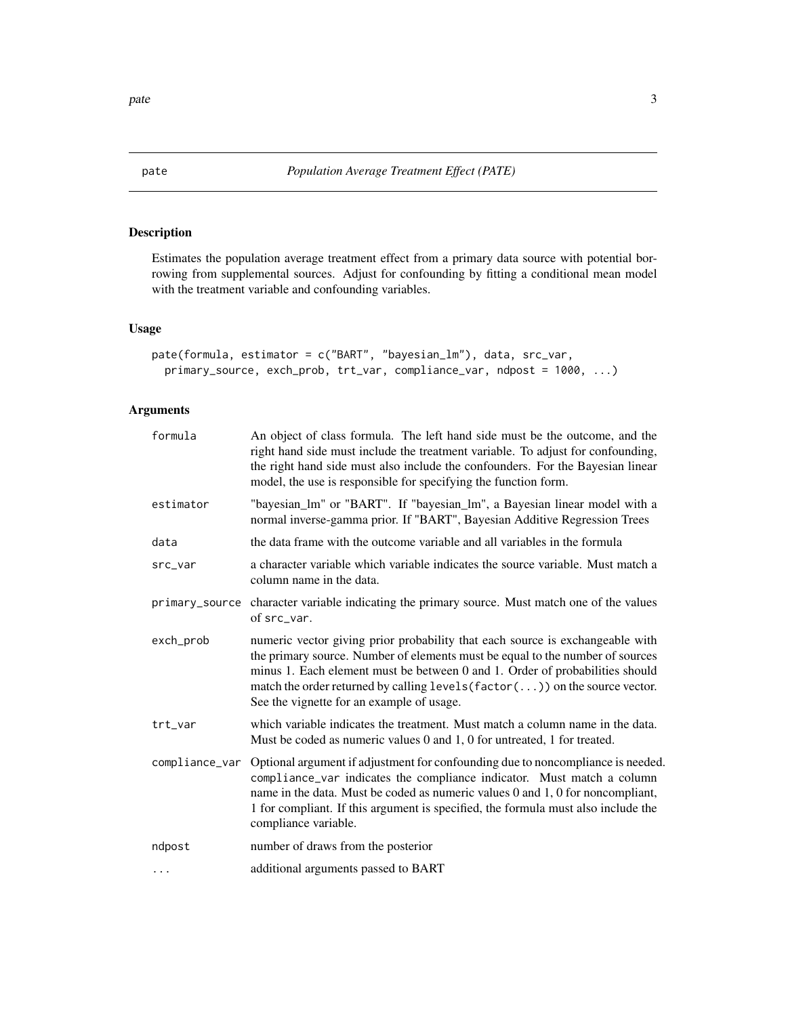### Description

Estimates the population average treatment effect from a primary data source with potential borrowing from supplemental sources. Adjust for confounding by fitting a conditional mean model with the treatment variable and confounding variables.

### Usage

```
pate(formula, estimator = c("BART", "bayesian_lm"), data, src_var,
 primary_source, exch_prob, trt_var, compliance_var, ndpost = 1000, ...)
```
### Arguments

| formula        | An object of class formula. The left hand side must be the outcome, and the<br>right hand side must include the treatment variable. To adjust for confounding,<br>the right hand side must also include the confounders. For the Bayesian linear<br>model, the use is responsible for specifying the function form.                                                        |
|----------------|----------------------------------------------------------------------------------------------------------------------------------------------------------------------------------------------------------------------------------------------------------------------------------------------------------------------------------------------------------------------------|
| estimator      | "bayesian_lm" or "BART". If "bayesian_lm", a Bayesian linear model with a<br>normal inverse-gamma prior. If "BART", Bayesian Additive Regression Trees                                                                                                                                                                                                                     |
| data           | the data frame with the outcome variable and all variables in the formula                                                                                                                                                                                                                                                                                                  |
| src_var        | a character variable which variable indicates the source variable. Must match a<br>column name in the data.                                                                                                                                                                                                                                                                |
| primary_source | character variable indicating the primary source. Must match one of the values<br>of src var.                                                                                                                                                                                                                                                                              |
| exch_prob      | numeric vector giving prior probability that each source is exchangeable with<br>the primary source. Number of elements must be equal to the number of sources<br>minus 1. Each element must be between 0 and 1. Order of probabilities should<br>match the order returned by calling levels (factor()) on the source vector.<br>See the vignette for an example of usage. |
| trt_var        | which variable indicates the treatment. Must match a column name in the data.<br>Must be coded as numeric values 0 and 1, 0 for untreated, 1 for treated.                                                                                                                                                                                                                  |
| compliance_var | Optional argument if adjustment for confounding due to noncompliance is needed.<br>compliance_var indicates the compliance indicator. Must match a column<br>name in the data. Must be coded as numeric values 0 and 1, 0 for noncompliant,<br>1 for compliant. If this argument is specified, the formula must also include the<br>compliance variable.                   |
| ndpost         | number of draws from the posterior                                                                                                                                                                                                                                                                                                                                         |
| .              | additional arguments passed to BART                                                                                                                                                                                                                                                                                                                                        |

<span id="page-2-0"></span>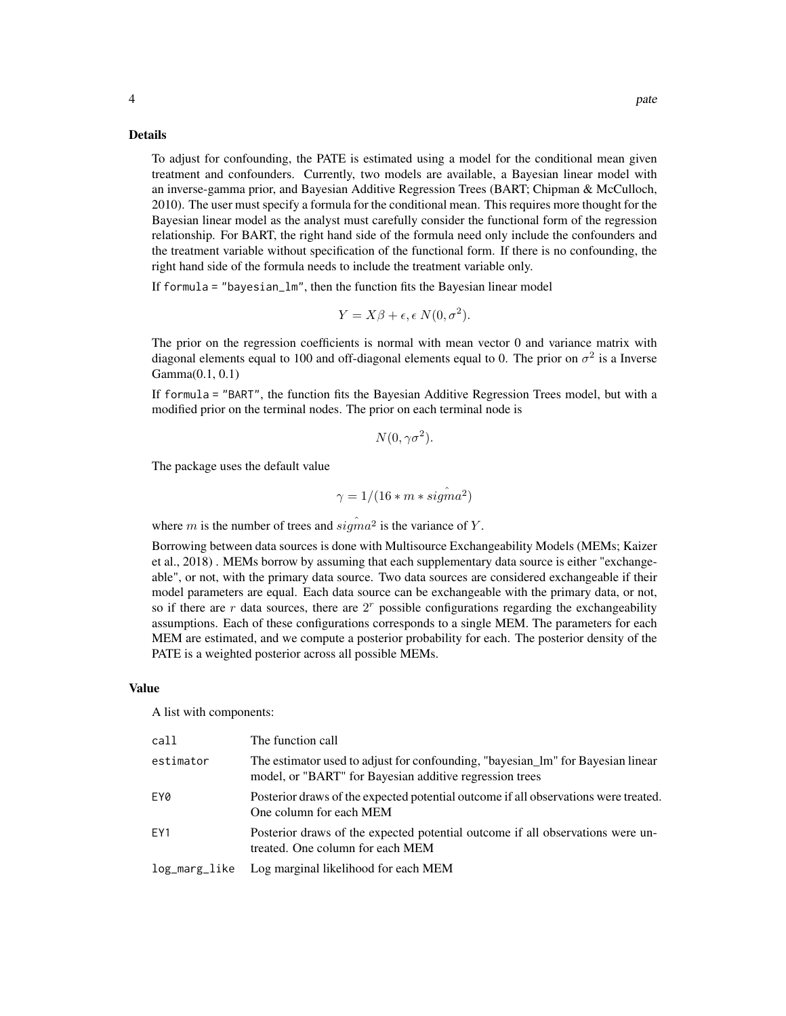To adjust for confounding, the PATE is estimated using a model for the conditional mean given treatment and confounders. Currently, two models are available, a Bayesian linear model with an inverse-gamma prior, and Bayesian Additive Regression Trees (BART; Chipman & McCulloch, 2010). The user must specify a formula for the conditional mean. This requires more thought for the Bayesian linear model as the analyst must carefully consider the functional form of the regression relationship. For BART, the right hand side of the formula need only include the confounders and the treatment variable without specification of the functional form. If there is no confounding, the right hand side of the formula needs to include the treatment variable only.

If formula = "bayesian\_lm", then the function fits the Bayesian linear model

$$
Y = X\beta + \epsilon, \epsilon N(0, \sigma^2).
$$

The prior on the regression coefficients is normal with mean vector 0 and variance matrix with diagonal elements equal to 100 and off-diagonal elements equal to 0. The prior on  $\sigma^2$  is a Inverse Gamma(0.1, 0.1)

If formula = "BART", the function fits the Bayesian Additive Regression Trees model, but with a modified prior on the terminal nodes. The prior on each terminal node is

$$
N(0, \gamma \sigma^2)
$$
.

The package uses the default value

$$
\gamma=1/(16*m * sig\hat{m}a^2)
$$

where m is the number of trees and  $sigma^2$  is the variance of Y.

Borrowing between data sources is done with Multisource Exchangeability Models (MEMs; Kaizer et al., 2018) . MEMs borrow by assuming that each supplementary data source is either "exchangeable", or not, with the primary data source. Two data sources are considered exchangeable if their model parameters are equal. Each data source can be exchangeable with the primary data, or not, so if there are  $r$  data sources, there are  $2<sup>r</sup>$  possible configurations regarding the exchangeability assumptions. Each of these configurations corresponds to a single MEM. The parameters for each MEM are estimated, and we compute a posterior probability for each. The posterior density of the PATE is a weighted posterior across all possible MEMs.

### Value

A list with components:

| call          | The function call                                                                                                                          |
|---------------|--------------------------------------------------------------------------------------------------------------------------------------------|
| estimator     | The estimator used to adjust for confounding, "bayesian_lm" for Bayesian linear<br>model, or "BART" for Bayesian additive regression trees |
| EY0           | Posterior draws of the expected potential outcome if all observations were treated.<br>One column for each MEM                             |
| EY1           | Posterior draws of the expected potential outcome if all observations were un-<br>treated. One column for each MEM                         |
| log_marg_like | Log marginal likelihood for each MEM                                                                                                       |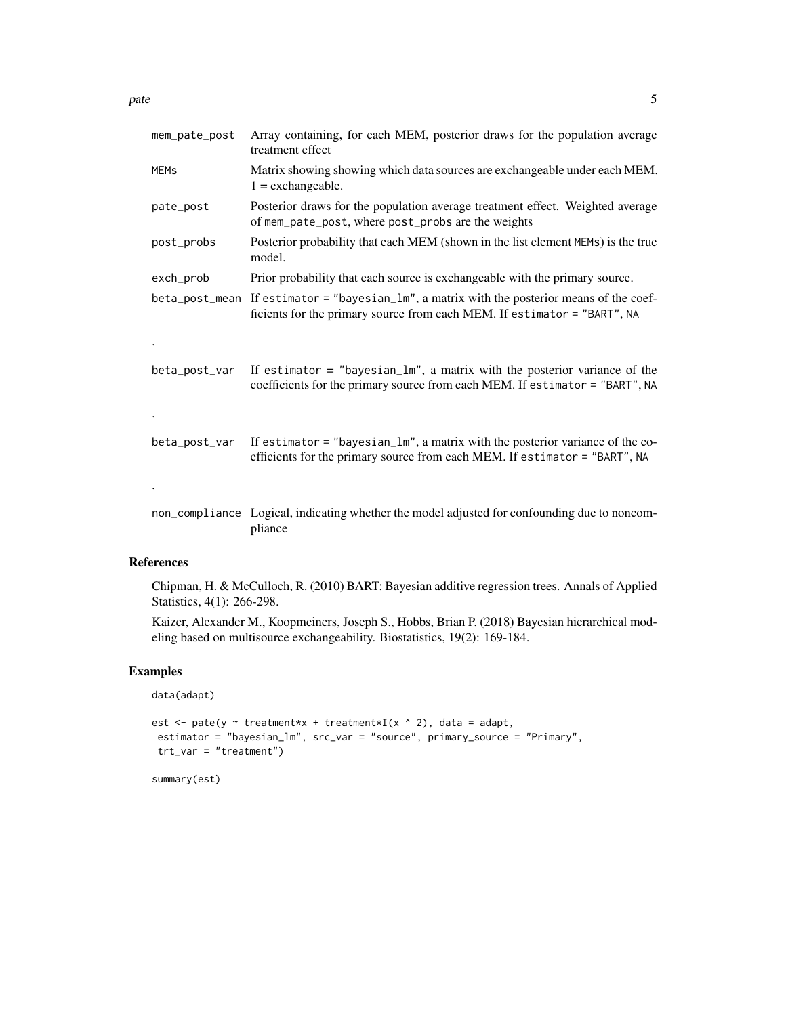| mem_pate_post          | Array containing, for each MEM, posterior draws for the population average<br>treatment effect                                                                             |
|------------------------|----------------------------------------------------------------------------------------------------------------------------------------------------------------------------|
| <b>MEM<sub>S</sub></b> | Matrix showing showing which data sources are exchangeable under each MEM.<br>$1 =$ exchangeable.                                                                          |
| pate_post              | Posterior draws for the population average treatment effect. Weighted average<br>of mem_pate_post, where post_probs are the weights                                        |
| post_probs             | Posterior probability that each MEM (shown in the list element MEMs) is the true<br>model.                                                                                 |
| exch_prob              | Prior probability that each source is exchangeable with the primary source.                                                                                                |
|                        | $beta_$ post_mean If estimator = "bayesian_lm", a matrix with the posterior means of the coef-<br>ficients for the primary source from each MEM. If estimator = "BART", NA |
|                        |                                                                                                                                                                            |
| beta_post_var          | If estimator $=$ "bayesian_lm", a matrix with the posterior variance of the<br>coefficients for the primary source from each MEM. If estimator = "BART", NA                |
|                        |                                                                                                                                                                            |
| beta_post_var          | If estimator = "bayesian_lm", a matrix with the posterior variance of the co-<br>efficients for the primary source from each MEM. If estimator = "BART", NA                |
|                        |                                                                                                                                                                            |
|                        | non_compliance Logical, indicating whether the model adjusted for confounding due to noncom-<br>pliance                                                                    |

### References

Chipman, H. & McCulloch, R. (2010) BART: Bayesian additive regression trees. Annals of Applied Statistics, 4(1): 266-298.

Kaizer, Alexander M., Koopmeiners, Joseph S., Hobbs, Brian P. (2018) Bayesian hierarchical modeling based on multisource exchangeability. Biostatistics, 19(2): 169-184.

### Examples

```
data(adapt)
```

```
est \leq pate(y \sim treatment*x + treatment*I(x \land 2), data = adapt,
estimator = "bayesian_lm", src_var = "source", primary_source = "Primary",
trt_var = "treatment")
```
summary(est)